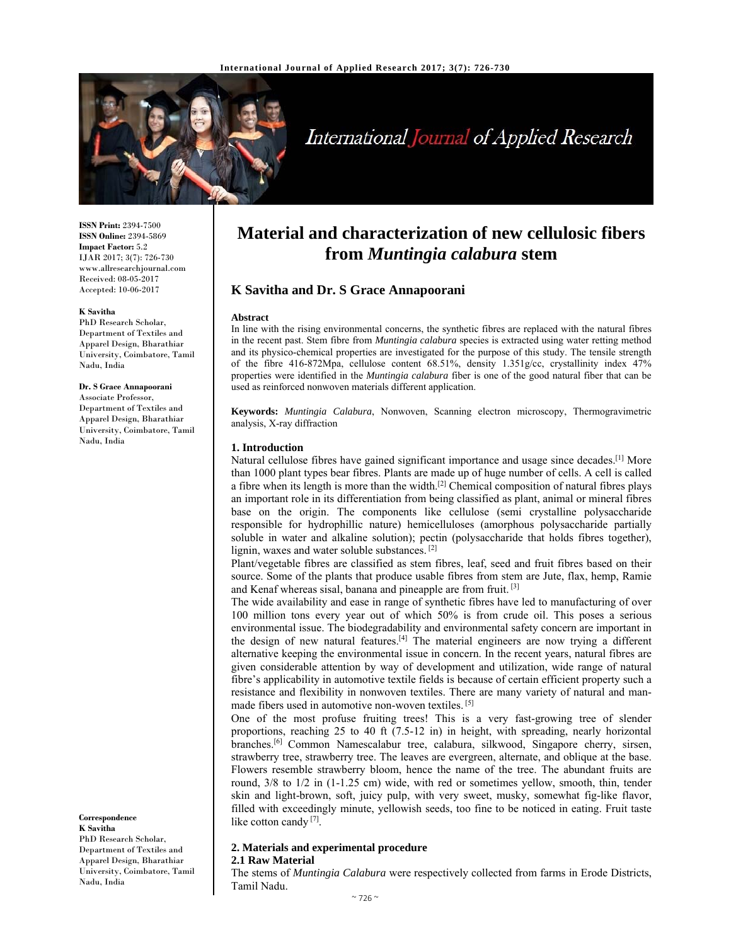

# International Journal of Applied Research

**ISSN Print:** 2394-7500 **ISSN Online:** 2394-5869 **Impact Factor:** 5.2 IJAR 2017; 3(7): 726-730 www.allresearchjournal.com Received: 08-05-2017 Accepted: 10-06-2017

#### **K Savitha**

PhD Research Scholar, Department of Textiles and Apparel Design, Bharathiar University, Coimbatore, Tamil Nadu, India

#### **Dr. S Grace Annapoorani**

Associate Professor, Department of Textiles and Apparel Design, Bharathiar University, Coimbatore, Tamil Nadu, India

**Correspondence K Savitha**  PhD Research Scholar, Department of Textiles and Apparel Design, Bharathiar University, Coimbatore, Tamil Nadu, India

## **Material and characterization of new cellulosic fibers from** *Muntingia calabura* **stem**

## **K Savitha and Dr. S Grace Annapoorani**

#### **Abstract**

In line with the rising environmental concerns, the synthetic fibres are replaced with the natural fibres in the recent past. Stem fibre from *Muntingia calabura* species is extracted using water retting method and its physico-chemical properties are investigated for the purpose of this study. The tensile strength of the fibre 416-872Mpa, cellulose content 68.51%, density 1.351g/cc, crystallinity index 47% properties were identified in the *Muntingia calabura* fiber is one of the good natural fiber that can be used as reinforced nonwoven materials different application.

**Keywords:** *Muntingia Calabura*, Nonwoven, Scanning electron microscopy, Thermogravimetric analysis, X-ray diffraction

## **1. Introduction**

Natural cellulose fibres have gained significant importance and usage since decades.[1] More than 1000 plant types bear fibres. Plants are made up of huge number of cells. A cell is called a fibre when its length is more than the width.[2] Chemical composition of natural fibres plays an important role in its differentiation from being classified as plant, animal or mineral fibres base on the origin. The components like cellulose (semi crystalline polysaccharide responsible for hydrophillic nature) hemicelluloses (amorphous polysaccharide partially soluble in water and alkaline solution); pectin (polysaccharide that holds fibres together), lignin, waxes and water soluble substances. [2]

Plant/vegetable fibres are classified as stem fibres, leaf, seed and fruit fibres based on their source. Some of the plants that produce usable fibres from stem are Jute, flax, hemp, Ramie and Kenaf whereas sisal, banana and pineapple are from fruit. [3]

The wide availability and ease in range of synthetic fibres have led to manufacturing of over 100 million tons every year out of which 50% is from crude oil. This poses a serious environmental issue. The biodegradability and environmental safety concern are important in the design of new natural features.[4] The material engineers are now trying a different alternative keeping the environmental issue in concern. In the recent years, natural fibres are given considerable attention by way of development and utilization, wide range of natural fibre's applicability in automotive textile fields is because of certain efficient property such a resistance and flexibility in nonwoven textiles. There are many variety of natural and manmade fibers used in automotive non-woven textiles. [5]

One of the most profuse fruiting trees! This is a very fast-growing tree of slender proportions, reaching 25 to 40 ft (7.5-12 in) in height, with spreading, nearly horizontal branches.[6] Common Namescalabur tree, calabura, silkwood, Singapore cherry, sirsen, strawberry tree, strawberry tree. The leaves are evergreen, alternate, and oblique at the base. Flowers resemble strawberry bloom, hence the name of the tree. The abundant fruits are round, 3/8 to 1/2 in (1-1.25 cm) wide, with red or sometimes yellow, smooth, thin, tender skin and light-brown, soft, juicy pulp, with very sweet, musky, somewhat fig-like flavor, filled with exceedingly minute, yellowish seeds, too fine to be noticed in eating. Fruit taste like cotton candy [7].

## **2. Materials and experimental procedure**

#### **2.1 Raw Material**

The stems of *Muntingia Calabura* were respectively collected from farms in Erode Districts, Tamil Nadu.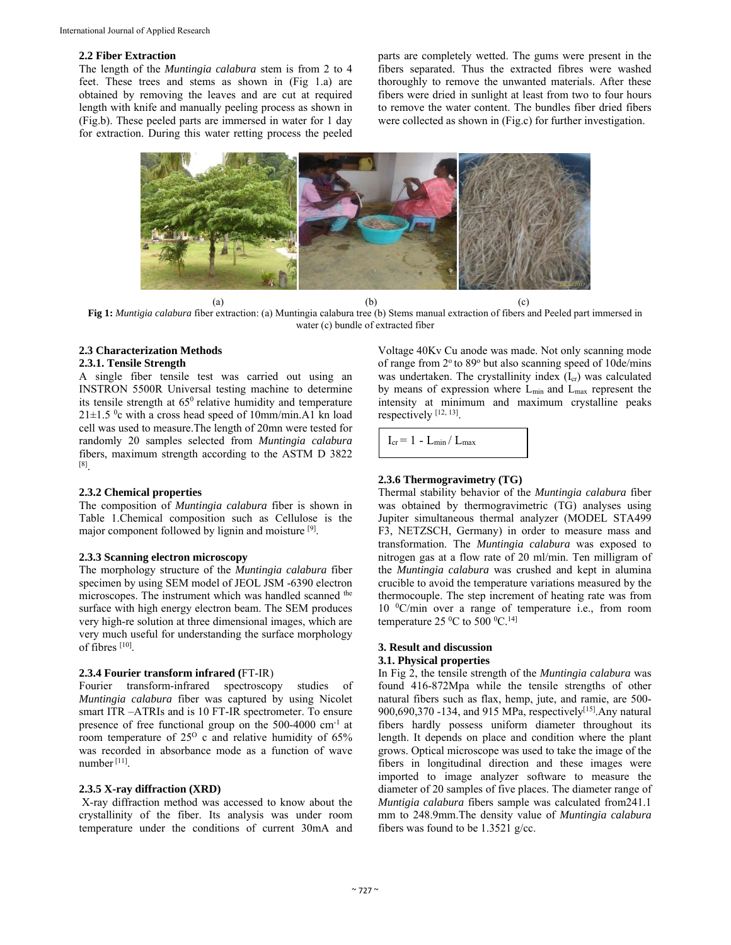#### **2.2 Fiber Extraction**

The length of the *Muntingia calabura* stem is from 2 to 4 feet. These trees and stems as shown in (Fig 1.a) are obtained by removing the leaves and are cut at required length with knife and manually peeling process as shown in (Fig.b). These peeled parts are immersed in water for 1 day for extraction. During this water retting process the peeled parts are completely wetted. The gums were present in the fibers separated. Thus the extracted fibres were washed thoroughly to remove the unwanted materials. After these fibers were dried in sunlight at least from two to four hours to remove the water content. The bundles fiber dried fibers were collected as shown in (Fig.c) for further investigation.



(a)  $(b)$  (c) **Fig 1:** *Muntigia calabura* fiber extraction: (a) Muntingia calabura tree (b) Stems manual extraction of fibers and Peeled part immersed in water (c) bundle of extracted fiber

## **2.3 Characterization Methods**

## **2.3.1. Tensile Strength**

A single fiber tensile test was carried out using an INSTRON 5500R Universal testing machine to determine its tensile strength at  $65^{\circ}$  relative humidity and temperature  $21 \pm 1.5$  °c with a cross head speed of 10mm/min.A1 kn load cell was used to measure.The length of 20mn were tested for randomly 20 samples selected from *Muntingia calabura* fibers, maximum strength according to the ASTM D 3822 [8].

## **2.3.2 Chemical properties**

The composition of *Muntingia calabura* fiber is shown in Table 1.Chemical composition such as Cellulose is the major component followed by lignin and moisture [9].

#### **2.3.3 Scanning electron microscopy**

The morphology structure of the *Muntingia calabura* fiber specimen by using SEM model of JEOL JSM -6390 electron microscopes. The instrument which was handled scanned the surface with high energy electron beam. The SEM produces very high-re solution at three dimensional images, which are very much useful for understanding the surface morphology of fibres [10].

#### **2.3.4 Fourier transform infrared (**FT-IR)

Fourier transform-infrared spectroscopy studies of *Muntingia calabura* fiber was captured by using Nicolet smart ITR –ATRIs and is 10 FT-IR spectrometer. To ensure presence of free functional group on the 500-4000 cm-1 at room temperature of  $25^{\circ}$  c and relative humidity of 65% was recorded in absorbance mode as a function of wave number [11].

#### **2.3.5 X-ray diffraction (XRD)**

 X-ray diffraction method was accessed to know about the crystallinity of the fiber. Its analysis was under room temperature under the conditions of current 30mA and

Voltage 40Kv Cu anode was made. Not only scanning mode of range from 2° to 89° but also scanning speed of 10de/mins was undertaken. The crystallinity index  $(I_{cr})$  was calculated by means of expression where  $L_{min}$  and  $L_{max}$  represent the intensity at minimum and maximum crystalline peaks respectively [12, 13].

 $I_{cr} = 1 - L_{min}/L_{max}$ 

## **2.3.6 Thermogravimetry (TG)**

Thermal stability behavior of the *Muntingia calabura* fiber was obtained by thermogravimetric (TG) analyses using Jupiter simultaneous thermal analyzer (MODEL STA499 F3, NETZSCH, Germany) in order to measure mass and transformation. The *Muntingia calabura* was exposed to nitrogen gas at a flow rate of 20 ml/min. Ten milligram of the *Muntingia calabura* was crushed and kept in alumina crucible to avoid the temperature variations measured by the thermocouple. The step increment of heating rate was from 10 0 C/min over a range of temperature i.e., from room temperature 25  $\rm{^0C}$  to 500  $\rm{^0C}$ .<sup>14]</sup>

#### **3. Result and discussion 3.1. Physical properties**

In Fig 2, the tensile strength of the *Muntingia calabura* was found 416-872Mpa while the tensile strengths of other natural fibers such as flax, hemp, jute, and ramie, are 500- 900,690,370 -134, and 915 MPa, respectively<sup>[15]</sup>.Any natural fibers hardly possess uniform diameter throughout its length. It depends on place and condition where the plant grows. Optical microscope was used to take the image of the fibers in longitudinal direction and these images were imported to image analyzer software to measure the diameter of 20 samples of five places. The diameter range of *Muntigia calabura* fibers sample was calculated from241.1 mm to 248.9mm.The density value of *Muntingia calabura*  fibers was found to be 1.3521 g/cc.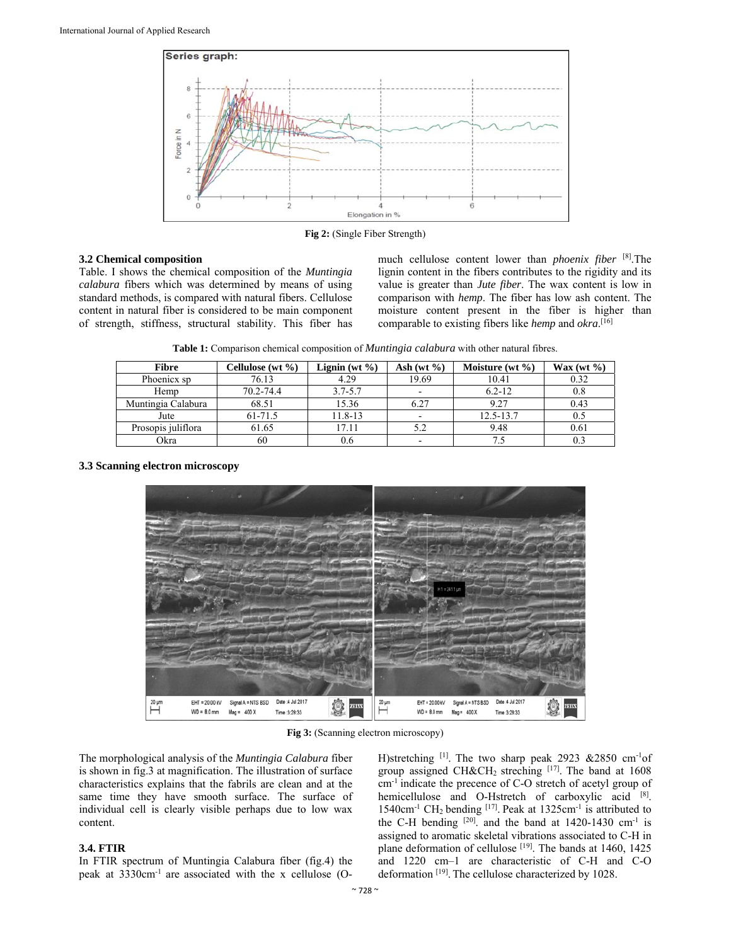

**Fig 2:** (Single Fiber Strength)

## **3.2 Chemical composition**

Table. I shows the chemical composition of the *Muntingia calabura* fibers which was determined by means of using standard methods, is compared with natural fibers. Cellulose content in natural fiber is considered to be main component of strength, stiffness, structural stability. This fiber has much cellulose content lower than *phoenix fiber* [8].The lignin content in the fibers contributes to the rigidity and its value is greater than *Jute fiber*. The wax content is low in comparison with *hemp*. The fiber has low ash content. The moisture content present in the fiber is higher than comparable to existing fibers like *hemp* and *okra*. [16]

**Table 1:** Comparison chemical composition of *Muntingia calabura* with other natural fibres.

| Fibre              | Cellulose (wt %) | Lignin (wt $\%$ ) | Ash (wt $\%$ )           | Moisture (wt $\%$ ) | $\text{Wax}(\text{wt }\% )$ |
|--------------------|------------------|-------------------|--------------------------|---------------------|-----------------------------|
| Phoenicx sp        | 76.13            | 4.29              | 19.69                    | 10.41               | 0.32                        |
| Hemp               | 70.2-74.4        | $3.7 - 5.7$       | $\overline{\phantom{a}}$ | $6.2 - 12$          | 0.8                         |
| Muntingia Calabura | 68.51            | 15.36             | 6.27                     | 9.27                | 0.43                        |
| Jute               | 61-71.5          | 11.8-13           |                          | $12.5 - 13.7$       | 0.5                         |
| Prosopis juliflora | 61.65            | 17.11             | 5.2                      | 9.48                | 0.61                        |
| Okra               | 60               | 0.6               |                          |                     |                             |

## **3.3 Scanning electron microscopy**



**Fig 3:** (Scanning electron microscopy)

The morphological analysis of the *Muntingia Calabura* fiber is shown in fig.3 at magnification. The illustration of surface characteristics explains that the fabrils are clean and at the same time they have smooth surface. The surface of individual cell is clearly visible perhaps due to low wax content.

## **3.4. FTIR**

In FTIR spectrum of Muntingia Calabura fiber (fig.4) the peak at 3330cm-1 are associated with the x cellulose (O-

H)stretching [1]. The two sharp peak 2923 &2850 cm-1of group assigned CH&CH<sub>2</sub> streching  $[17]$ . The band at 1608 cm-1 indicate the precence of C-O stretch of acetyl group of hemicellulose and O-Hstretch of carboxylic acid [8]. 1540cm-1 CH2 bending [17]. Peak at 1325cm-1 is attributed to the C-H bending  $[20]$  and the band at 1420-1430 cm<sup>-1</sup> is assigned to aromatic skeletal vibrations associated to C-H in plane deformation of cellulose <sup>[19]</sup>. The bands at 1460, 1425 and 1220 cm–1 are characteristic of C-H and C-O deformation [19]. The cellulose characterized by 1028.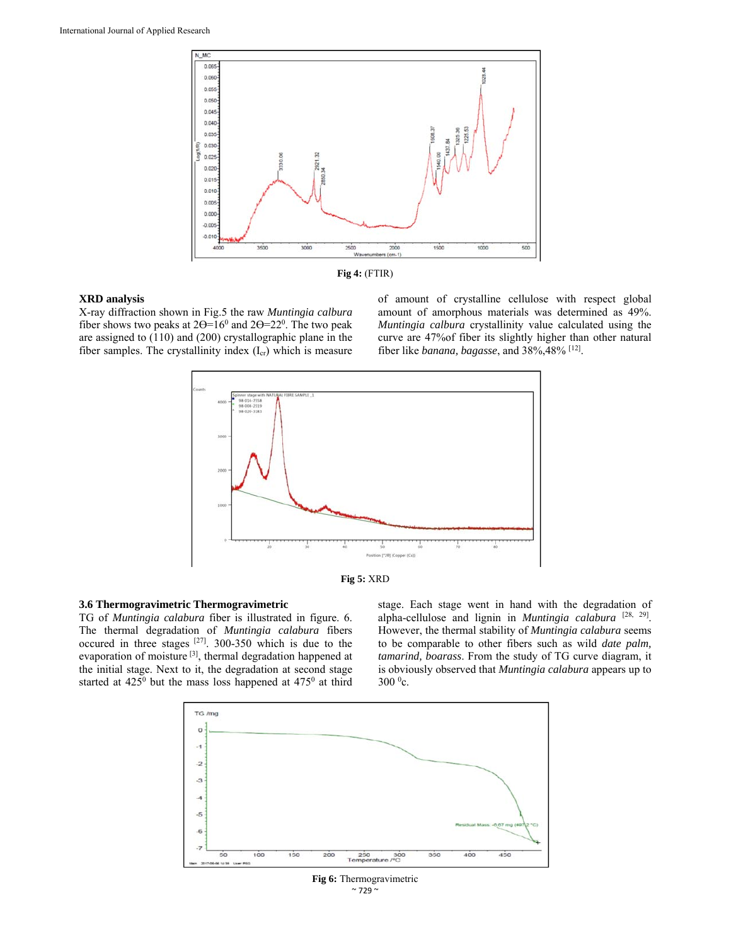



#### **XRD analysis**

X-ray diffraction shown in Fig.5 the raw *Muntingia calbura*  fiber shows two peaks at  $2\Theta = 16^{\circ}$  and  $2\Theta = 22^{\circ}$ . The two peak are assigned to (110) and (200) crystallographic plane in the fiber samples. The crystallinity index  $(I_{cr})$  which is measure

of amount of crystalline cellulose with respect global amount of amorphous materials was determined as 49%. *Muntingia calbura* crystallinity value calculated using the curve are 47%of fiber its slightly higher than other natural fiber like *banana, bagasse*, and 38%,48% [12].





## **3.6 Thermogravimetric Thermogravimetric**

TG of *Muntingia calabura* fiber is illustrated in figure. 6. The thermal degradation of *Muntingia calabura* fibers occured in three stages [27]. 300-350 which is due to the evaporation of moisture<sup>[3]</sup>, thermal degradation happened at the initial stage. Next to it, the degradation at second stage started at  $425^{\circ}$  but the mass loss happened at  $475^{\circ}$  at third stage. Each stage went in hand with the degradation of alpha-cellulose and lignin in *Muntingia calabura* [28, 29]. However, the thermal stability of *Muntingia calabura* seems to be comparable to other fibers such as wild *date palm, tamarind, boarass*. From the study of TG curve diagram, it is obviously observed that *Muntingia calabura* appears up to  $300\,^0$ c.



 $\sim$  729  $\sim$ **Fig 6:** Thermogravimetric